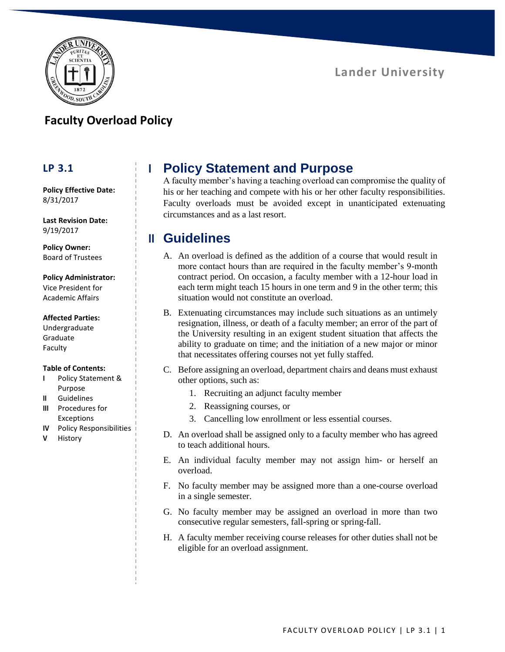

### **Faculty Overload Policy**

#### **LP 3.1**

**Policy Effective Date:** 8/31/2017

**Last Revision Date:** 9/19/2017

**Policy Owner:** Board of Trustees

#### **Policy Administrator:** Vice President for

Academic Affairs

#### **Affected Parties:**

Undergraduate Graduate Faculty

#### **Table of Contents:**

- **I** Policy Statement & Purpose
- **II** Guidelines
- **III** Procedures for Exceptions
- **IV** Policy Responsibilities
- **V** History

# **I Policy Statement and Purpose**

A faculty member's having a teaching overload can compromise the quality of his or her teaching and compete with his or her other faculty responsibilities. Faculty overloads must be avoided except in unanticipated extenuating circumstances and as a last resort.

# **II Guidelines**

- A. An overload is defined as the addition of a course that would result in more contact hours than are required in the faculty member's 9-month contract period. On occasion, a faculty member with a 12-hour load in each term might teach 15 hours in one term and 9 in the other term; this situation would not constitute an overload.
- B. Extenuating circumstances may include such situations as an untimely resignation, illness, or death of a faculty member; an error of the part of the University resulting in an exigent student situation that affects the ability to graduate on time; and the initiation of a new major or minor that necessitates offering courses not yet fully staffed.
- C. Before assigning an overload, department chairs and deans must exhaust other options, such as:
	- 1. Recruiting an adjunct faculty member
	- 2. Reassigning courses, or
	- 3. Cancelling low enrollment or less essential courses.
- D. An overload shall be assigned only to a faculty member who has agreed to teach additional hours.
- E. An individual faculty member may not assign him- or herself an overload.
- F. No faculty member may be assigned more than a one-course overload in a single semester.
- G. No faculty member may be assigned an overload in more than two consecutive regular semesters, fall-spring or spring-fall.
- H. A faculty member receiving course releases for other duties shall not be eligible for an overload assignment.